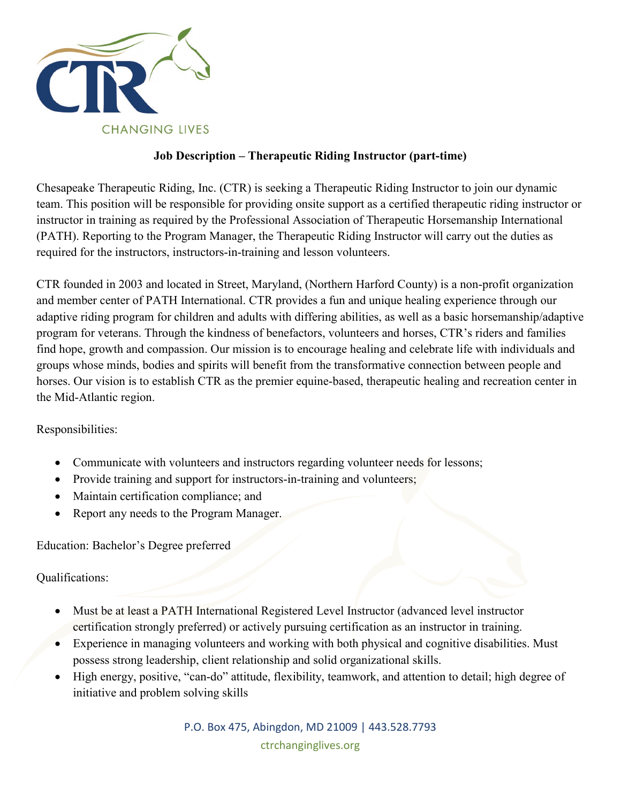

## **Job Description – Therapeutic Riding Instructor (part-time)**

Chesapeake Therapeutic Riding, Inc. (CTR) is seeking a Therapeutic Riding Instructor to join our dynamic team. This position will be responsible for providing onsite support as a certified therapeutic riding instructor or instructor in training as required by the Professional Association of Therapeutic Horsemanship International (PATH). Reporting to the Program Manager, the Therapeutic Riding Instructor will carry out the duties as required for the instructors, instructors-in-training and lesson volunteers.

CTR founded in 2003 and located in Street, Maryland, (Northern Harford County) is a non-profit organization and member center of PATH International. CTR provides a fun and unique healing experience through our adaptive riding program for children and adults with differing abilities, as well as a basic horsemanship/adaptive program for veterans. Through the kindness of benefactors, volunteers and horses, CTR's riders and families find hope, growth and compassion. Our mission is to encourage healing and celebrate life with individuals and groups whose minds, bodies and spirits will benefit from the transformative connection between people and horses. Our vision is to establish CTR as the premier equine-based, therapeutic healing and recreation center in the Mid-Atlantic region.

Responsibilities:

- Communicate with volunteers and instructors regarding volunteer needs for lessons;
- Provide training and support for instructors-in-training and volunteers;
- Maintain certification compliance; and
- Report any needs to the Program Manager.

Education: Bachelor's Degree preferred

Qualifications:

- Must be at least a PATH International Registered Level Instructor (advanced level instructor certification strongly preferred) or actively pursuing certification as an instructor in training.
- Experience in managing volunteers and working with both physical and cognitive disabilities. Must possess strong leadership, client relationship and solid organizational skills.
- High energy, positive, "can-do" attitude, flexibility, teamwork, and attention to detail; high degree of initiative and problem solving skills

P.O. Box 475, Abingdon, MD 21009 | 443.528.7793 ctrchanginglives.org